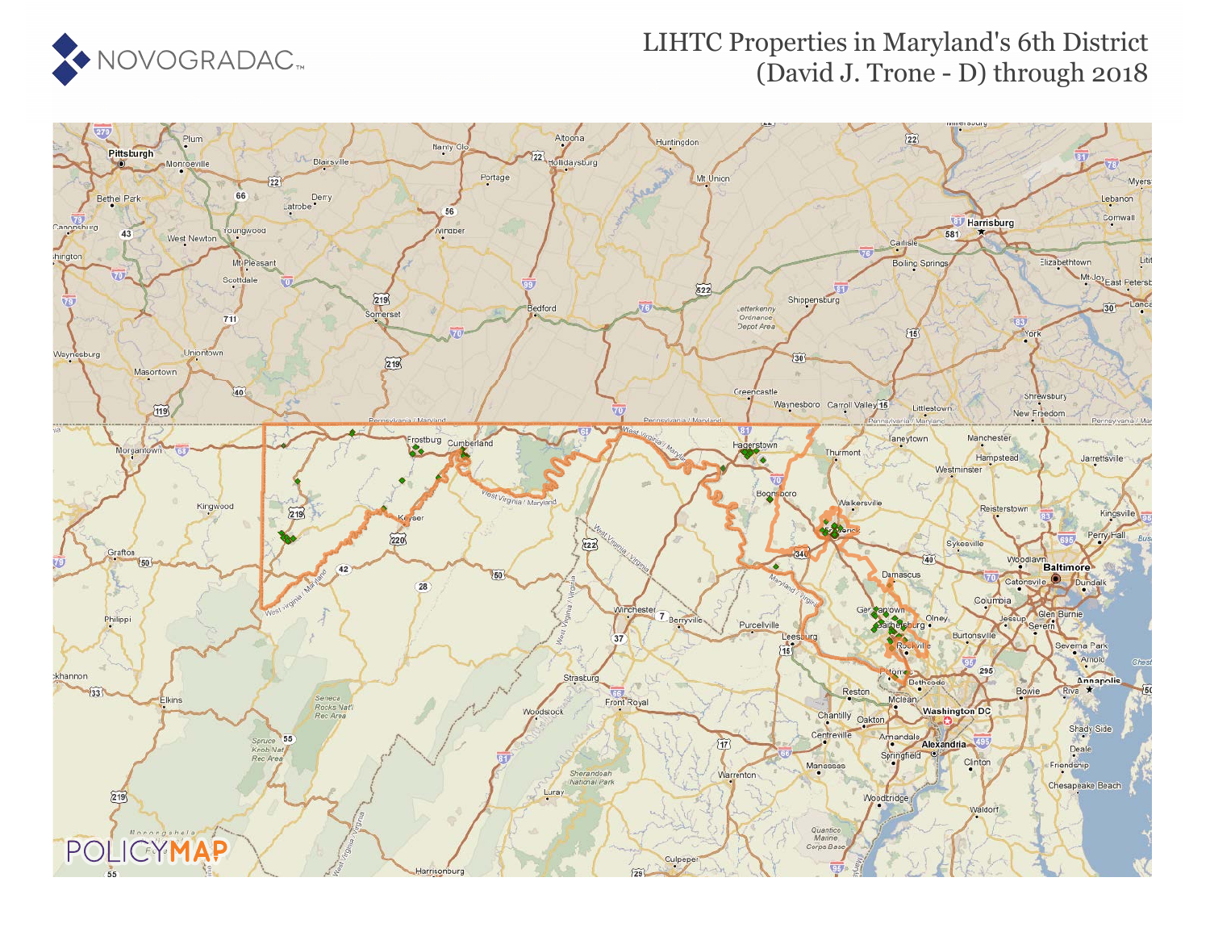

## LIHTC Properties in Maryland's 6th District (David J. Trone - D) through 2018

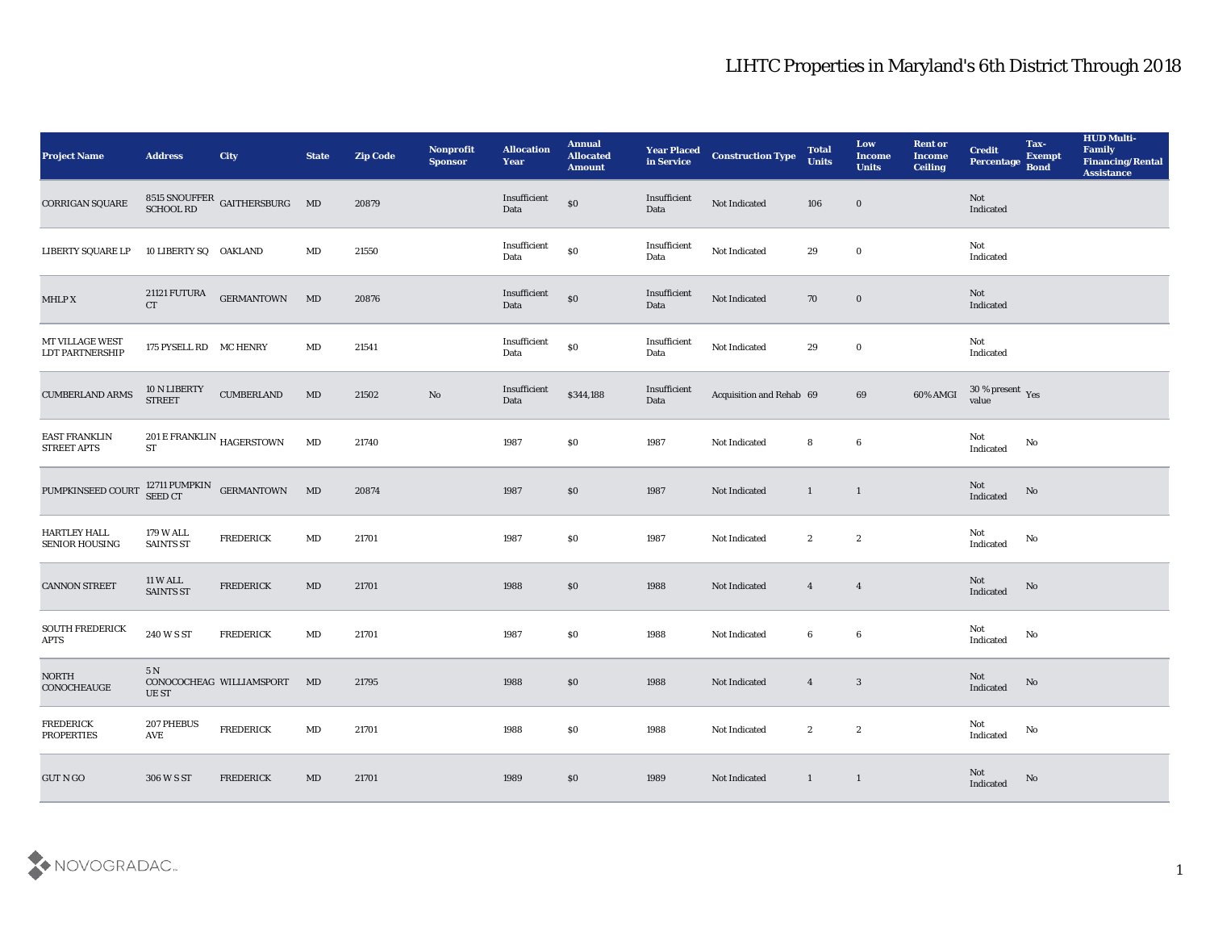| <b>Project Name</b>                          | <b>Address</b>                      | <b>City</b>                                       | <b>State</b>           | <b>Zip Code</b> | Nonprofit<br><b>Sponsor</b> | <b>Allocation</b><br><b>Year</b>            | <b>Annual</b><br><b>Allocated</b><br><b>Amount</b> | <b>Year Placed</b><br>in Service | <b>Construction Type</b> | <b>Total</b><br><b>Units</b> | Low<br><b>Income</b><br><b>Units</b> | <b>Rent or</b><br><b>Income</b><br>Ceiling | <b>Credit</b><br>Percentage           | Tax-<br><b>Exempt</b><br><b>Bond</b> | <b>HUD Multi-</b><br>Family<br><b>Financing/Rental</b><br><b>Assistance</b> |
|----------------------------------------------|-------------------------------------|---------------------------------------------------|------------------------|-----------------|-----------------------------|---------------------------------------------|----------------------------------------------------|----------------------------------|--------------------------|------------------------------|--------------------------------------|--------------------------------------------|---------------------------------------|--------------------------------------|-----------------------------------------------------------------------------|
| CORRIGAN SQUARE                              |                                     | $8515$ SNOUFFER GAITHERSBURG $\quad$ MD SCHOOL RD |                        | 20879           |                             | Insufficient<br>Data                        | $\$0$                                              | Insufficient<br>Data             | Not Indicated            | 106                          | $\bf{0}$                             |                                            | Not<br>Indicated                      |                                      |                                                                             |
| <b>LIBERTY SQUARE LP</b>                     | 10 LIBERTY SQ OAKLAND               |                                                   | MD                     | 21550           |                             | Insufficient<br>Data                        | $\$0$                                              | Insufficient<br>Data             | Not Indicated            | 29                           | $\bf{0}$                             |                                            | Not<br>Indicated                      |                                      |                                                                             |
| MHLP X                                       | 21121 FUTURA<br><b>CT</b>           | <b>GERMANTOWN</b>                                 | MD                     | 20876           |                             | Insufficient<br>Data                        | $\$0$                                              | Insufficient<br>Data             | Not Indicated            | 70                           | $\bf{0}$                             |                                            | Not<br>Indicated                      |                                      |                                                                             |
| MT VILLAGE WEST<br><b>LDT PARTNERSHIP</b>    | 175 PYSELL RD MC HENRY              |                                                   | $\mathbf{M}\mathbf{D}$ | 21541           |                             | $\label{lem:optimal} In sufficient$<br>Data | $\$0$                                              | Insufficient<br>Data             | Not Indicated            | 29                           | $\bf{0}$                             |                                            | Not<br>Indicated                      |                                      |                                                                             |
| <b>CUMBERLAND ARMS</b>                       | 10 N LIBERTY<br><b>STREET</b>       | <b>CUMBERLAND</b>                                 | MD                     | 21502           | No                          | Insufficient<br>Data                        | \$344,188                                          | Insufficient<br>Data             | Acquisition and Rehab 69 |                              | 69                                   | 60% AMGI                                   | $30\,\%$ present $\,$ Yes value       |                                      |                                                                             |
| <b>EAST FRANKLIN</b><br><b>STREET APTS</b>   | <b>ST</b>                           | $201\,\mathrm{E}\,\mathrm{FRANKLIN}$ HAGERSTOWN   | MD                     | 21740           |                             | 1987                                        | \$0                                                | 1987                             | Not Indicated            | 8                            | $6\phantom{.0}$                      |                                            | Not<br>Indicated                      | No                                   |                                                                             |
| PUMPKINSEED COURT                            |                                     | 12711 PUMPKIN $$\sf{GERMANTOWN}$$                 | MD                     | 20874           |                             | 1987                                        | \$0                                                | 1987                             | Not Indicated            | $\mathbf{1}$                 | $\mathbf{1}$                         |                                            | Not<br>Indicated                      | No                                   |                                                                             |
| <b>HARTLEY HALL</b><br><b>SENIOR HOUSING</b> | 179 W ALL<br><b>SAINTS ST</b>       | <b>FREDERICK</b>                                  | $\mathbf{M}\mathbf{D}$ | 21701           |                             | 1987                                        | \$0                                                | 1987                             | Not Indicated            | $\boldsymbol{2}$             | $\mathbf{2}$                         |                                            | Not<br>Indicated                      | No                                   |                                                                             |
| <b>CANNON STREET</b>                         | <b>11 W ALL</b><br><b>SAINTS ST</b> | <b>FREDERICK</b>                                  | MD                     | 21701           |                             | 1988                                        | \$0                                                | 1988                             | Not Indicated            | $\overline{4}$               | $\overline{4}$                       |                                            | Not<br>Indicated                      | No                                   |                                                                             |
| <b>SOUTH FREDERICK</b><br><b>APTS</b>        | 240 W S ST                          | <b>FREDERICK</b>                                  | MD                     | 21701           |                             | 1987                                        | \$0                                                | 1988                             | Not Indicated            | 6                            | 6                                    |                                            | Not<br>Indicated                      | No                                   |                                                                             |
| <b>NORTH</b><br>CONOCHEAUGE                  | 5 N<br>UE ST                        | CONOCOCHEAG WILLIAMSPORT MD                       |                        | 21795           |                             | 1988                                        | \$0                                                | 1988                             | Not Indicated            | $\overline{4}$               | $\boldsymbol{3}$                     |                                            | Not<br>Indicated                      | No                                   |                                                                             |
| <b>FREDERICK</b><br><b>PROPERTIES</b>        | 207 PHEBUS<br>AVE                   | <b>FREDERICK</b>                                  | $\mathbf{M}\mathbf{D}$ | 21701           |                             | 1988                                        | $\$0$                                              | 1988                             | Not Indicated            | $\mathbf{2}$                 | $\boldsymbol{2}$                     |                                            | Not<br>Indicated                      | No                                   |                                                                             |
| GUT N GO                                     | 306 W S ST                          | <b>FREDERICK</b>                                  | MD                     | 21701           |                             | 1989                                        | \$0                                                | 1989                             | Not Indicated            | $\mathbf{1}$                 | $\mathbf{1}$                         |                                            | $\operatorname{\bf Not}$<br>Indicated | No                                   |                                                                             |

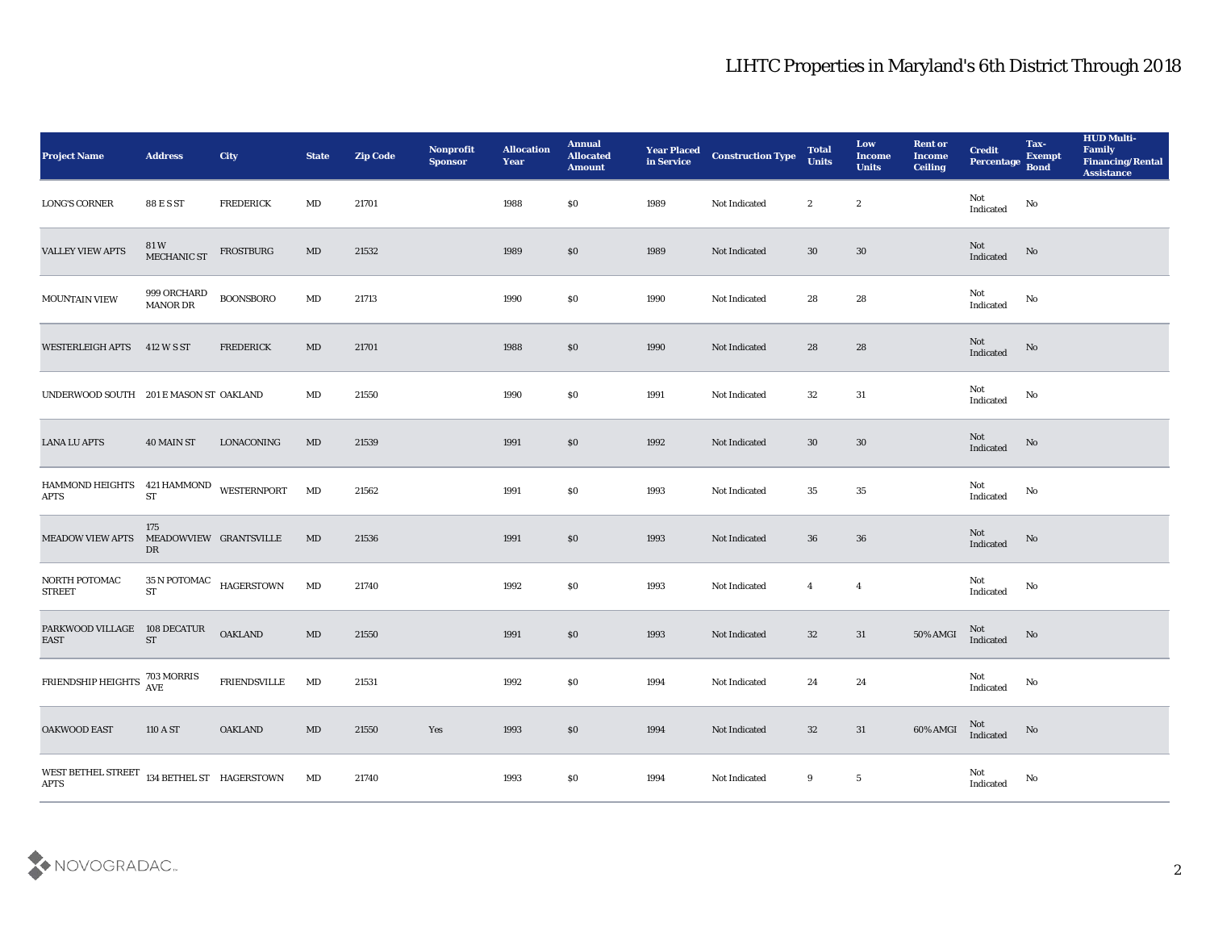| <b>Project Name</b>                                        | <b>Address</b>                      | <b>City</b>                                   | <b>State</b>           | <b>Zip Code</b> | Nonprofit<br><b>Sponsor</b> | <b>Allocation</b><br><b>Year</b> | <b>Annual</b><br><b>Allocated</b><br><b>Amount</b> |      | <b>Year Placed Construction Type</b><br>in Service <b>Construction</b> Type | <b>Total</b><br><b>Units</b> | Low<br><b>Income</b><br><b>Units</b> | <b>Rent or</b><br><b>Income</b><br><b>Ceiling</b> | <b>Credit</b><br>Percentage           | Tax-<br><b>Exempt</b><br><b>Bond</b> | <b>HUD Multi-</b><br>Family<br><b>Financing/Rental</b><br><b>Assistance</b> |
|------------------------------------------------------------|-------------------------------------|-----------------------------------------------|------------------------|-----------------|-----------------------------|----------------------------------|----------------------------------------------------|------|-----------------------------------------------------------------------------|------------------------------|--------------------------------------|---------------------------------------------------|---------------------------------------|--------------------------------------|-----------------------------------------------------------------------------|
| <b>LONG'S CORNER</b>                                       | 88 E S ST                           | <b>FREDERICK</b>                              | MD                     | 21701           |                             | 1988                             | \$0                                                | 1989 | Not Indicated                                                               | $\boldsymbol{2}$             | $\boldsymbol{2}$                     |                                                   | Not<br>Indicated                      | No                                   |                                                                             |
| <b>VALLEY VIEW APTS</b>                                    | 81 W<br>MECHANIC ST                 | FROSTBURG                                     | MD                     | 21532           |                             | 1989                             | \$0                                                | 1989 | Not Indicated                                                               | 30                           | 30                                   |                                                   | $\operatorname{\bf Not}$<br>Indicated | No                                   |                                                                             |
| <b>MOUNTAIN VIEW</b>                                       | 999 ORCHARD<br>MANOR DR             | <b>BOONSBORO</b>                              | $\mathbf{M}\mathbf{D}$ | 21713           |                             | 1990                             | \$0                                                | 1990 | Not Indicated                                                               | 28                           | 28                                   |                                                   | Not<br>Indicated                      | No                                   |                                                                             |
| <b>WESTERLEIGH APTS</b>                                    | 412 W S ST                          | <b>FREDERICK</b>                              | MD                     | 21701           |                             | 1988                             | $\$0$                                              | 1990 | Not Indicated                                                               | 28                           | 28                                   |                                                   | Not<br>Indicated                      | No                                   |                                                                             |
| UNDERWOOD SOUTH 201 E MASON ST OAKLAND                     |                                     |                                               | MD                     | 21550           |                             | 1990                             | \$0                                                | 1991 | Not Indicated                                                               | 32                           | 31                                   |                                                   | Not<br>Indicated                      | No                                   |                                                                             |
| <b>LANA LU APTS</b>                                        | 40 MAIN ST                          | LONACONING                                    | MD                     | 21539           |                             | 1991                             | \$0                                                | 1992 | Not Indicated                                                               | 30                           | 30                                   |                                                   | Not<br>Indicated                      | No                                   |                                                                             |
| HAMMOND HEIGHTS $421$ HAMMOND WESTERNPORT<br><b>APTS</b>   | <b>ST</b>                           |                                               | MD                     | 21562           |                             | 1991                             | \$0                                                | 1993 | Not Indicated                                                               | 35                           | 35                                   |                                                   | Not<br>Indicated                      | No                                   |                                                                             |
| <b>MEADOW VIEW APTS</b>                                    | 175<br>MEADOWVIEW GRANTSVILLE<br>DR |                                               | MD                     | 21536           |                             | 1991                             | $\$0$                                              | 1993 | Not Indicated                                                               | 36                           | 36                                   |                                                   | Not<br>Indicated                      | No                                   |                                                                             |
| NORTH POTOMAC<br><b>STREET</b>                             | ${\cal S}{\cal T}$                  | $35\,\mathrm{N}\,\mathrm{POTOMAC}$ HAGERSTOWN | MD                     | 21740           |                             | 1992                             | \$0                                                | 1993 | Not Indicated                                                               | $\overline{4}$               | $\overline{4}$                       |                                                   | Not<br>Indicated                      | No                                   |                                                                             |
| PARKWOOD VILLAGE 108 DECATUR<br><b>EAST</b>                | $\operatorname{ST}$                 | <b>OAKLAND</b>                                | MD                     | 21550           |                             | 1991                             | \$0                                                | 1993 | Not Indicated                                                               | 32                           | 31                                   | 50% AMGI                                          | Not<br>Indicated                      | No                                   |                                                                             |
| FRIENDSHIP HEIGHTS $^{703\, \rm MORRIS}_{\rm AVE}$         |                                     | <b>FRIENDSVILLE</b>                           | MD                     | 21531           |                             | 1992                             | \$0                                                | 1994 | Not Indicated                                                               | 24                           | 24                                   |                                                   | Not<br>Indicated                      | No                                   |                                                                             |
| OAKWOOD EAST                                               | $110\,\mathrm{A}\,\mathrm{ST}$      | <b>OAKLAND</b>                                | $\mathbf{M}\mathbf{D}$ | 21550           | Yes                         | 1993                             | $\$0$                                              | 1994 | Not Indicated                                                               | $32\,$                       | 31                                   | 60% AMGI                                          | Not<br>Indicated                      | No                                   |                                                                             |
| WEST BETHEL STREET 134 BETHEL ST HAGERSTOWN<br><b>APTS</b> |                                     |                                               | MD                     | 21740           |                             | 1993                             | \$0                                                | 1994 | Not Indicated                                                               | 9                            | $\sqrt{5}$                           |                                                   | $\rm Not$ Indicated                   | $\rm\thinspace No$                   |                                                                             |

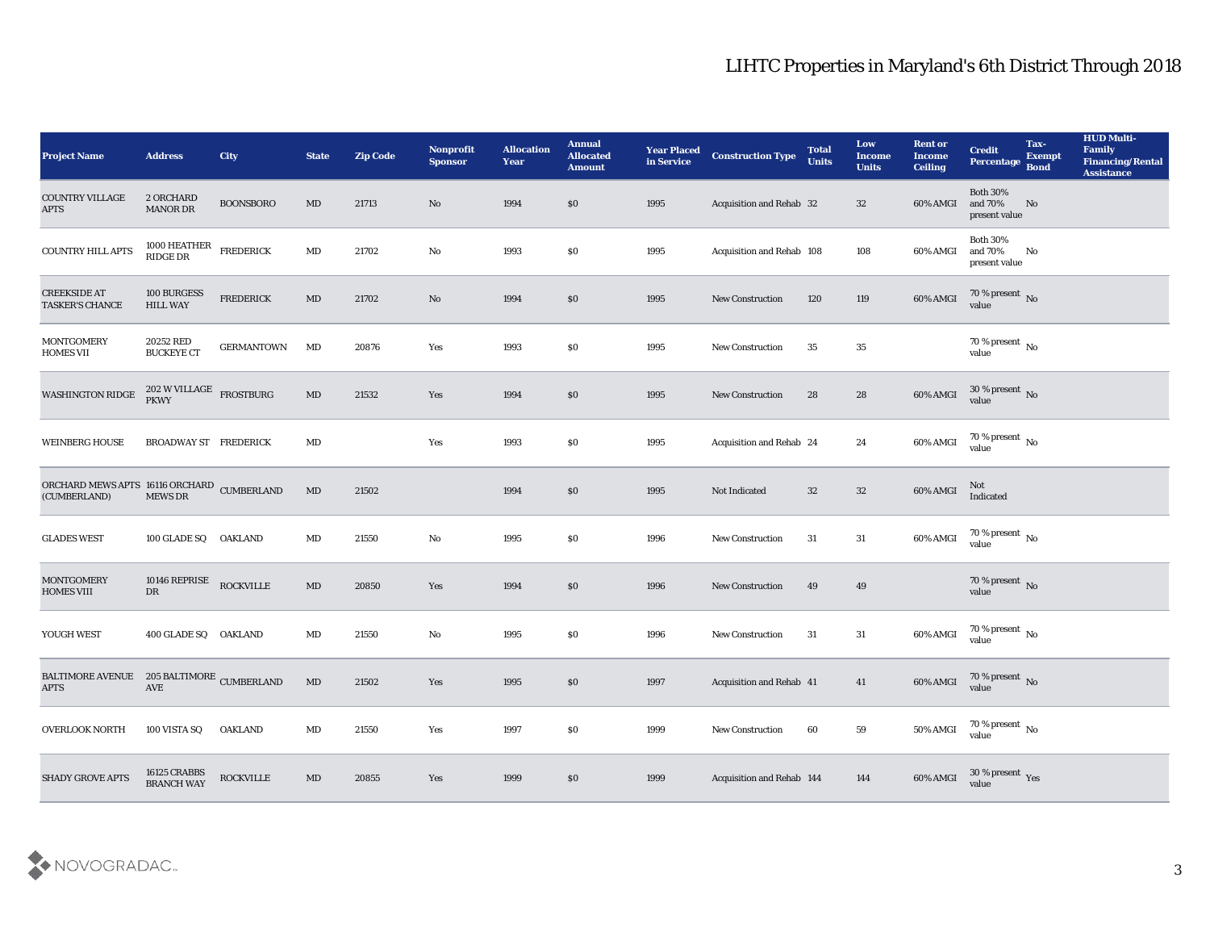| <b>Project Name</b>                                        | <b>Address</b>                                                     | <b>City</b>       | <b>State</b>           | <b>Zip Code</b> | Nonprofit<br><b>Sponsor</b> | <b>Allocation</b><br><b>Year</b> | <b>Annual</b><br><b>Allocated</b><br><b>Amount</b> | <b>Year Placed</b><br>in Service | <b>Construction Type</b>  | <b>Total</b><br><b>Units</b> | Low<br><b>Income</b><br><b>Units</b> | <b>Rent or</b><br><b>Income</b><br><b>Ceiling</b> | <b>Credit</b><br>Percentage                                                         | Tax-<br><b>Exempt</b><br><b>Bond</b> | <b>HUD Multi-</b><br>Family<br><b>Financing/Rental</b><br><b>Assistance</b> |
|------------------------------------------------------------|--------------------------------------------------------------------|-------------------|------------------------|-----------------|-----------------------------|----------------------------------|----------------------------------------------------|----------------------------------|---------------------------|------------------------------|--------------------------------------|---------------------------------------------------|-------------------------------------------------------------------------------------|--------------------------------------|-----------------------------------------------------------------------------|
| <b>COUNTRY VILLAGE</b><br><b>APTS</b>                      | 2 ORCHARD<br>MANOR DR                                              | <b>BOONSBORO</b>  | $\rm MD$               | 21713           | $\mathbf{N}\mathbf{o}$      | 1994                             | $\$0$                                              | 1995                             | Acquisition and Rehab 32  |                              | 32                                   | 60% AMGI                                          | <b>Both 30%</b><br>and 70%<br>present value                                         | No                                   |                                                                             |
| <b>COUNTRY HILL APTS</b>                                   | 1000 HEATHER<br><b>RIDGE DR</b>                                    | <b>FREDERICK</b>  | MD                     | 21702           | No                          | 1993                             | $\$0$                                              | 1995                             | Acquisition and Rehab 108 |                              | 108                                  | 60% AMGI                                          | <b>Both 30%</b><br>and 70%<br>present value                                         | No                                   |                                                                             |
| <b>CREEKSIDE AT</b><br><b>TASKER'S CHANCE</b>              | 100 BURGESS<br><b>HILL WAY</b>                                     | <b>FREDERICK</b>  | MD                     | 21702           | No                          | 1994                             | \$0\$                                              | 1995                             | <b>New Construction</b>   | 120                          | 119                                  | 60% AMGI                                          | 70 % present No<br>value                                                            |                                      |                                                                             |
| <b>MONTGOMERY</b><br><b>HOMES VII</b>                      | 20252 RED<br><b>BUCKEYE CT</b>                                     | <b>GERMANTOWN</b> | MD                     | 20876           | Yes                         | 1993                             | \$0\$                                              | 1995                             | <b>New Construction</b>   | 35                           | 35                                   |                                                   | $70\,\%$ present $\,$ No value                                                      |                                      |                                                                             |
| <b>WASHINGTON RIDGE</b>                                    | $202\ \rm{W}\, \rm{VILLAGE}$ $_{\rm FROSTBURG}$ $_{\rm FROSTBURG}$ |                   | $\rm MD$               | 21532           | Yes                         | 1994                             | \$0\$                                              | 1995                             | <b>New Construction</b>   | 28                           | 28                                   | 60% AMGI                                          | $30\,\%$ present $\,$ No value                                                      |                                      |                                                                             |
| <b>WEINBERG HOUSE</b>                                      | <b>BROADWAY ST FREDERICK</b>                                       |                   | MD                     |                 | Yes                         | 1993                             | $\$0$                                              | 1995                             | Acquisition and Rehab 24  |                              | 24                                   | 60% AMGI                                          | $\begin{array}{c} 70\text{ %} \text{present} \\ \text{value} \end{array} \text{No}$ |                                      |                                                                             |
| ORCHARD MEWS APTS 16116 ORCHARD CUMBERLAND<br>(CUMBERLAND) | <b>MEWS DR</b>                                                     |                   | $\rm MD$               | 21502           |                             | 1994                             | \$0\$                                              | 1995                             | Not Indicated             | 32                           | $32\,$                               | 60% AMGI                                          | Not<br>Indicated                                                                    |                                      |                                                                             |
| <b>GLADES WEST</b>                                         | 100 GLADE SQ                                                       | <b>OAKLAND</b>    | MD                     | 21550           | No                          | 1995                             | \$0\$                                              | 1996                             | <b>New Construction</b>   | 31                           | 31                                   | 60% AMGI                                          | 70 % present $\,$ No $\,$<br>value                                                  |                                      |                                                                             |
| <b>MONTGOMERY</b><br><b>HOMES VIII</b>                     | 10146 REPRISE<br>DR                                                | <b>ROCKVILLE</b>  | $\mathbf{M}\mathbf{D}$ | 20850           | Yes                         | 1994                             | \$0\$                                              | 1996                             | <b>New Construction</b>   | 49                           | 49                                   |                                                   | $70\,\%$ present $\,$ No value                                                      |                                      |                                                                             |
| YOUGH WEST                                                 | 400 GLADE SQ OAKLAND                                               |                   | MD                     | 21550           | No                          | 1995                             | \$0\$                                              | 1996                             | <b>New Construction</b>   | 31                           | 31                                   | 60% AMGI                                          | $\begin{array}{c} 70\text{ %} \text{present} \\ \text{value} \end{array} \text{No}$ |                                      |                                                                             |
| BALTIMORE AVENUE 205 BALTIMORE CUMBERLAND<br><b>APTS</b>   | AVE                                                                |                   | $\rm MD$               | 21502           | Yes                         | 1995                             | $\$0$                                              | 1997                             | Acquisition and Rehab 41  |                              | 41                                   | 60% AMGI                                          | 70 % present No<br>value                                                            |                                      |                                                                             |
| <b>OVERLOOK NORTH</b>                                      | 100 VISTA SQ                                                       | <b>OAKLAND</b>    | $\mathbf{M}\mathbf{D}$ | 21550           | $\mathbf{Yes}$              | 1997                             | $\$0$                                              | 1999                             | New Construction          | 60                           | ${\bf 59}$                           | 50% AMGI                                          | $70\,\%$ present $\,$ No value                                                      |                                      |                                                                             |
| <b>SHADY GROVE APTS</b>                                    | 16125 CRABBS<br><b>BRANCH WAY</b>                                  | <b>ROCKVILLE</b>  | $\mathbf{M}\mathbf{D}$ | 20855           | $\mathbf{Yes}$              | 1999                             | \$0\$                                              | 1999                             | Acquisition and Rehab 144 |                              | 144                                  | 60% AMGI                                          | $30\,\%$ present $\,$ Yes value                                                     |                                      |                                                                             |

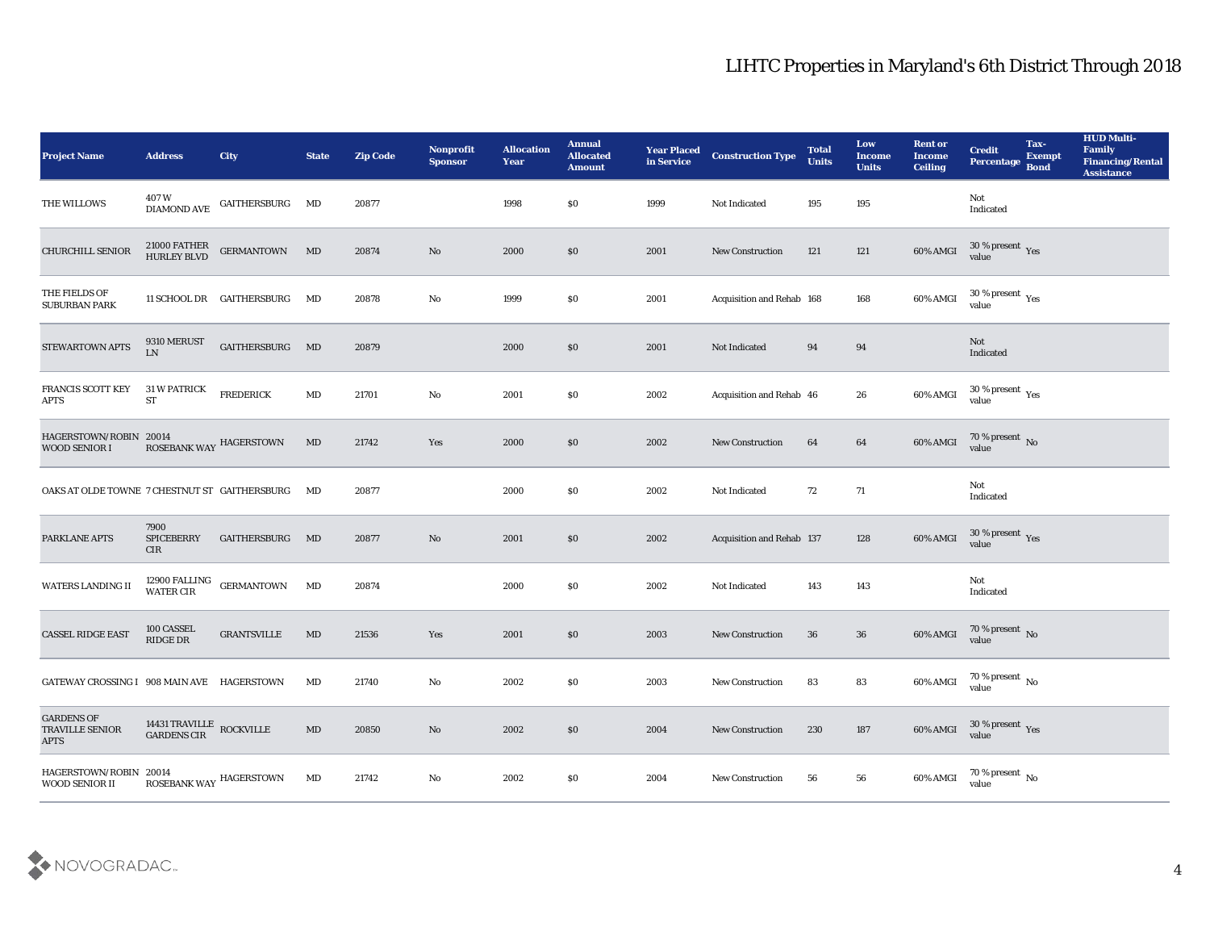| <b>Project Name</b>                                 | <b>Address</b>                                 | <b>City</b>                                                      | <b>State</b>           | <b>Zip Code</b> | <b>Nonprofit</b><br><b>Sponsor</b> | <b>Allocation</b><br><b>Year</b> | <b>Annual</b><br><b>Allocated</b><br><b>Amount</b> | <b>Year Placed</b><br>in Service | <b>Construction Type</b>  | <b>Total</b><br><b>Units</b> | Low<br><b>Income</b><br><b>Units</b> | <b>Rent or</b><br><b>Income</b><br><b>Ceiling</b> | <b>Credit</b><br>Percentage                | Tax-<br><b>Exempt</b><br><b>Bond</b> | <b>HUD Multi-</b><br>Family<br><b>Financing/Rental</b><br><b>Assistance</b> |
|-----------------------------------------------------|------------------------------------------------|------------------------------------------------------------------|------------------------|-----------------|------------------------------------|----------------------------------|----------------------------------------------------|----------------------------------|---------------------------|------------------------------|--------------------------------------|---------------------------------------------------|--------------------------------------------|--------------------------------------|-----------------------------------------------------------------------------|
| THE WILLOWS                                         |                                                | $407\,\mathrm{W}$ $$\rm \,GATHERSBURG$$ $$\rm \,MD$$ DIAMOND AVE |                        | 20877           |                                    | 1998                             | $\$0$                                              | 1999                             | Not Indicated             | 195                          | 195                                  |                                                   | Not<br>$\operatorname{Indicated}$          |                                      |                                                                             |
| CHURCHILL SENIOR                                    | 21000 FATHER<br>HURLEY BLVD                    | GERMANTOWN MD                                                    |                        | 20874           | No                                 | 2000                             | $\$0$                                              | 2001                             | <b>New Construction</b>   | 121                          | 121                                  | 60% AMGI                                          | $30\,\%$ present $\,$ Yes value            |                                      |                                                                             |
| THE FIELDS OF<br><b>SUBURBAN PARK</b>               |                                                | 11 SCHOOL DR GAITHERSBURG                                        | MD                     | 20878           | No                                 | 1999                             | \$0\$                                              | 2001                             | Acquisition and Rehab 168 |                              | 168                                  | 60% AMGI                                          | $30\,\%$ present $\,$ Yes value            |                                      |                                                                             |
| STEWARTOWN APTS                                     | 9310 MERUST<br>LN                              | GAITHERSBURG MD                                                  |                        | 20879           |                                    | 2000                             | \$0\$                                              | 2001                             | Not Indicated             | 94                           | 94                                   |                                                   | Not<br>Indicated                           |                                      |                                                                             |
| <b>FRANCIS SCOTT KEY</b><br><b>APTS</b>             | <b>31 W PATRICK</b><br>ST                      | <b>FREDERICK</b>                                                 | MD                     | 21701           | $\mathbf{N}\mathbf{o}$             | 2001                             | $\$0$                                              | 2002                             | Acquisition and Rehab 46  |                              | 26                                   | 60% AMGI                                          | $30\,\%$ present $\,\mathrm{Yes}$<br>value |                                      |                                                                             |
| HAGERSTOWN/ROBIN 20014<br><b>WOOD SENIOR I</b>      |                                                | ROSEBANK WAY HAGERSTOWN                                          | MD                     | 21742           | Yes                                | 2000                             | $\$0$                                              | 2002                             | <b>New Construction</b>   | 64                           | 64                                   | 60% AMGI                                          | $70\,\%$ present $\,$ No value             |                                      |                                                                             |
| OAKS AT OLDE TOWNE 7 CHESTNUT ST GAITHERSBURG       |                                                |                                                                  | MD                     | 20877           |                                    | 2000                             | $\$0$                                              | 2002                             | Not Indicated             | 72                           | 71                                   |                                                   | Not<br>Indicated                           |                                      |                                                                             |
| <b>PARKLANE APTS</b>                                | 7900<br><b>SPICEBERRY</b><br><b>CIR</b>        | GAITHERSBURG                                                     | MD                     | 20877           | No                                 | 2001                             | \$0                                                | 2002                             | Acquisition and Rehab 137 |                              | 128                                  | 60% AMGI                                          | $30\,\%$ present $\,$ Yes value            |                                      |                                                                             |
| WATERS LANDING II                                   |                                                | $12900$ FALLING $\quad$ GERMANTOWN WATER CIR $\quad$             | MD                     | 20874           |                                    | 2000                             | \$0\$                                              | 2002                             | Not Indicated             | 143                          | 143                                  |                                                   | Not<br>Indicated                           |                                      |                                                                             |
| <b>CASSEL RIDGE EAST</b>                            | 100 CASSEL<br>RIDGE DR                         | <b>GRANTSVILLE</b>                                               | MD                     | 21536           | Yes                                | 2001                             | $\$0$                                              | 2003                             | <b>New Construction</b>   | 36                           | 36                                   | 60% AMGI                                          | $70\,\%$ present $\,$ No value             |                                      |                                                                             |
| GATEWAY CROSSING I 908 MAIN AVE HAGERSTOWN          |                                                |                                                                  | MD                     | 21740           | No                                 | 2002                             | \$0                                                | 2003                             | <b>New Construction</b>   | 83                           | 83                                   | 60% AMGI                                          | 70 % present $\,$ No $\,$<br>value         |                                      |                                                                             |
| <b>GARDENS OF</b><br>TRAVILLE SENIOR<br><b>APTS</b> | 14431 TRAVILLE $\,$ ROCKVILLE $\,$ GARDENS CIR |                                                                  | $\mathbf{M}\mathbf{D}$ | 20850           | $\mathbf {No}$                     | 2002                             | \$0                                                | 2004                             | New Construction          | 230                          | 187                                  | 60% AMGI                                          | $30\,\%$ present $\,\mathrm{Yes}$ value    |                                      |                                                                             |
| HAGERSTOWN/ROBIN 20014<br>WOOD SENIOR II            |                                                | ROSEBANK WAY HAGERSTOWN                                          | MD                     | 21742           | $\mathbf {No}$                     | 2002                             | \$0                                                | 2004                             | <b>New Construction</b>   | 56                           | 56                                   | 60% AMGI                                          | 70 % present No<br>value                   |                                      |                                                                             |

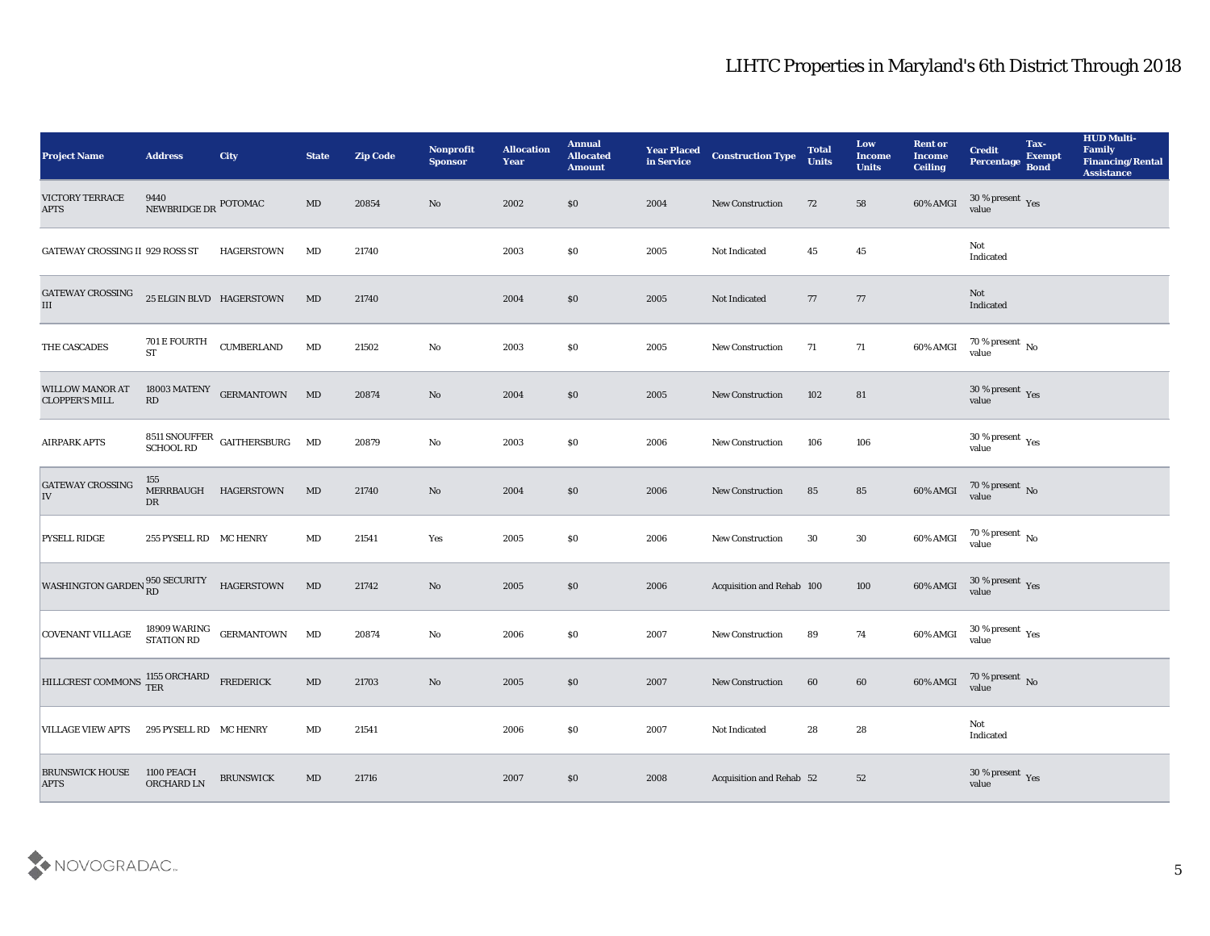| <b>Project Name</b>                             | <b>Address</b>                         | <b>City</b>                                                                                    | <b>State</b>           | <b>Zip Code</b> | <b>Nonprofit</b><br><b>Sponsor</b> | <b>Allocation</b><br><b>Year</b> | <b>Annual</b><br><b>Allocated</b><br><b>Amount</b> | <b>Year Placed</b><br>in Service | <b>Construction Type</b>  | <b>Total</b><br><b>Units</b> | Low<br><b>Income</b><br><b>Units</b> | <b>Rent or</b><br><b>Income</b><br><b>Ceiling</b> | <b>Credit</b><br>Percentage     | Tax-<br><b>Exempt</b><br><b>Bond</b> | <b>HUD Multi-</b><br>Family<br><b>Financing/Rental</b><br><b>Assistance</b> |
|-------------------------------------------------|----------------------------------------|------------------------------------------------------------------------------------------------|------------------------|-----------------|------------------------------------|----------------------------------|----------------------------------------------------|----------------------------------|---------------------------|------------------------------|--------------------------------------|---------------------------------------------------|---------------------------------|--------------------------------------|-----------------------------------------------------------------------------|
| <b>VICTORY TERRACE</b><br><b>APTS</b>           | 9440<br>NEWBRIDGE DR POTOMAC           |                                                                                                | MD                     | 20854           | No                                 | 2002                             | \$0                                                | 2004                             | <b>New Construction</b>   | 72                           | 58                                   | 60% AMGI                                          | $30\,\%$ present $\,$ Yes value |                                      |                                                                             |
| GATEWAY CROSSING II 929 ROSS ST                 |                                        | HAGERSTOWN                                                                                     | MD                     | 21740           |                                    | 2003                             | $\$0$                                              | 2005                             | Not Indicated             | 45                           | 45                                   |                                                   | Not<br>Indicated                |                                      |                                                                             |
| GATEWAY CROSSING<br>$\rm III$                   | 25 ELGIN BLVD HAGERSTOWN               |                                                                                                | MD                     | 21740           |                                    | 2004                             | \$0                                                | 2005                             | Not Indicated             | 77                           | 77                                   |                                                   | Not<br>Indicated                |                                      |                                                                             |
| THE CASCADES                                    | 701 E FOURTH<br><b>ST</b>              | <b>CUMBERLAND</b>                                                                              | $\mathbf{M}\mathbf{D}$ | 21502           | $\rm\thinspace No$                 | 2003                             | \$0\$                                              | 2005                             | <b>New Construction</b>   | 71                           | 71                                   | 60% AMGI                                          | $70\,\%$ present $\,$ No value  |                                      |                                                                             |
| <b>WILLOW MANOR AT</b><br><b>CLOPPER'S MILL</b> | 18003 MATENY<br>$\mathbf{R}\mathbf{D}$ | <b>GERMANTOWN</b>                                                                              | MD                     | 20874           | No                                 | 2004                             | \$0                                                | 2005                             | <b>New Construction</b>   | 102                          | 81                                   |                                                   | $30\,\%$ present $\,$ Yes value |                                      |                                                                             |
| <b>AIRPARK APTS</b>                             |                                        | $8511$ SNOUFFER GAITHERSBURG $\quad$ MD SCHOOL RD                                              |                        | 20879           | No                                 | 2003                             | \$0\$                                              | 2006                             | <b>New Construction</b>   | 106                          | 106                                  |                                                   | $30\,\%$ present $\,$ Yes value |                                      |                                                                             |
| <b>GATEWAY CROSSING</b><br>IV                   | 155<br>DR                              | MERRBAUGH HAGERSTOWN                                                                           | MD                     | 21740           | No                                 | 2004                             | \$0                                                | 2006                             | <b>New Construction</b>   | 85                           | 85                                   | 60% AMGI                                          | $70\,\%$ present $\,$ No value  |                                      |                                                                             |
| <b>PYSELL RIDGE</b>                             | 255 PYSELL RD MC HENRY                 |                                                                                                | MD                     | 21541           | Yes                                | 2005                             | \$0                                                | 2006                             | <b>New Construction</b>   | 30                           | 30                                   | 60% AMGI                                          | $70\,\%$ present $_{\rm No}$    |                                      |                                                                             |
| WASHINGTON GARDEN 850 SECURITY                  |                                        | <b>HAGERSTOWN</b>                                                                              | MD                     | 21742           | No                                 | 2005                             | \$0                                                | 2006                             | Acquisition and Rehab 100 |                              | 100                                  | 60% AMGI                                          | $30\,\%$ present $\,$ Yes value |                                      |                                                                             |
| <b>COVENANT VILLAGE</b>                         |                                        | $\begin{array}{cc} 18909\text{ WARING} & \text{GERMANTOWN} \\ \text{STATION RD} & \end{array}$ | MD                     | 20874           | No                                 | 2006                             | $\$0$                                              | 2007                             | <b>New Construction</b>   | 89                           | 74                                   | 60% AMGI                                          | $30\,\%$ present $\,$ Yes value |                                      |                                                                             |
| HILLCREST COMMONS TER FREDERICK                 |                                        |                                                                                                | $\mathbf{M}\mathbf{D}$ | 21703           | No                                 | 2005                             | \$0                                                | 2007                             | <b>New Construction</b>   | 60                           | 60                                   | 60% AMGI                                          | $70\,\%$ present $\,$ No value  |                                      |                                                                             |
| <b>VILLAGE VIEW APTS</b>                        | 295 PYSELL RD MC HENRY                 |                                                                                                | MD                     | 21541           |                                    | 2006                             | $\$0$                                              | 2007                             | Not Indicated             | 28                           | ${\bf 28}$                           |                                                   | Not<br>Indicated                |                                      |                                                                             |
| <b>BRUNSWICK HOUSE</b><br><b>APTS</b>           | 1100 PEACH<br>ORCHARD LN               | <b>BRUNSWICK</b>                                                                               | $\mathbf{M}\mathbf{D}$ | 21716           |                                    | 2007                             | $\$0$                                              | 2008                             | Acquisition and Rehab 52  |                              | 52                                   |                                                   | $30\,\%$ present $\,$ Yes value |                                      |                                                                             |

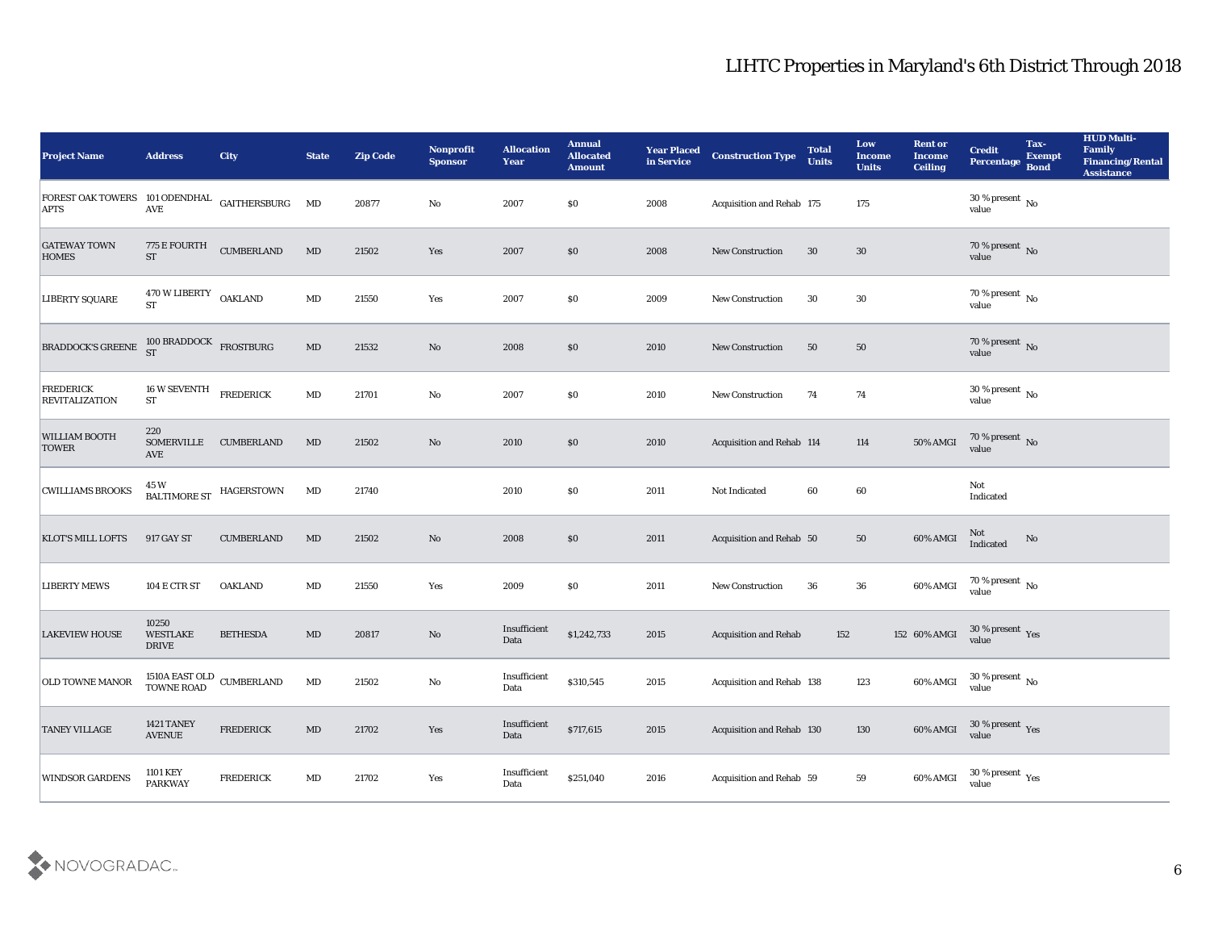| <b>Project Name</b>                                           | <b>Address</b>                                     | <b>City</b>       | <b>State</b>           | <b>Zip Code</b> | Nonprofit<br><b>Sponsor</b>                                                           | <b>Allocation</b><br><b>Year</b> | <b>Annual</b><br><b>Allocated</b><br><b>Amount</b> | <b>Year Placed</b><br>in Service | <b>Construction Type</b>     | <b>Total</b><br><b>Units</b> | Low<br><b>Income</b><br><b>Units</b> | <b>Rent or</b><br><b>Income</b><br><b>Ceiling</b> | <b>Credit</b><br><b>Percentage</b>     | Tax-<br><b>Exempt</b><br><b>Bond</b> | <b>HUD Multi-</b><br>Family<br><b>Financing/Rental</b><br><b>Assistance</b> |
|---------------------------------------------------------------|----------------------------------------------------|-------------------|------------------------|-----------------|---------------------------------------------------------------------------------------|----------------------------------|----------------------------------------------------|----------------------------------|------------------------------|------------------------------|--------------------------------------|---------------------------------------------------|----------------------------------------|--------------------------------------|-----------------------------------------------------------------------------|
| FOREST OAK TOWERS 101 ODENDHAL GAITHERSBURG MD<br><b>APTS</b> | <b>AVE</b>                                         |                   |                        | 20877           | No                                                                                    | 2007                             | \$0                                                | 2008                             | Acquisition and Rehab 175    |                              | 175                                  |                                                   | 30 % present $\,$ No $\,$<br>value     |                                      |                                                                             |
| <b>GATEWAY TOWN</b><br><b>HOMES</b>                           | 775 E FOURTH<br><b>ST</b>                          | <b>CUMBERLAND</b> | MD                     | 21502           | Yes                                                                                   | 2007                             | \$0                                                | 2008                             | <b>New Construction</b>      | 30                           | 30                                   |                                                   | $70\,\%$ present $\,$ No value         |                                      |                                                                             |
| <b>LIBERTY SQUARE</b>                                         | 470 W LIBERTY OAKLAND<br><b>ST</b>                 |                   | $\mathbf{M}\mathbf{D}$ | 21550           | Yes                                                                                   | 2007                             | \$0                                                | 2009                             | <b>New Construction</b>      | 30                           | 30                                   |                                                   | $70\,\%$ present $\,$ No value         |                                      |                                                                             |
| <b>BRADDOCK'S GREENE</b>                                      | $100$ BRADDOCK<br>FROSTBURG<br>ST                  |                   | $\mathbf{M}\mathbf{D}$ | 21532           | No                                                                                    | 2008                             | \$0                                                | 2010                             | New Construction             | 50                           | 50                                   |                                                   | $70\,\%$ present $\,$ No value         |                                      |                                                                             |
| <b>FREDERICK</b><br><b>REVITALIZATION</b>                     | 16 W SEVENTH<br><b>ST</b>                          | <b>FREDERICK</b>  | $\mathbf{M}\mathbf{D}$ | 21701           | $\rm\thinspace No$                                                                    | 2007                             | \$0                                                | 2010                             | <b>New Construction</b>      | 74                           | 74                                   |                                                   | $30\,\%$ present $\,$ No value         |                                      |                                                                             |
| <b>WILLIAM BOOTH</b><br><b>TOWER</b>                          | 220<br>SOMERVILLE CUMBERLAND<br><b>AVE</b>         |                   | MD                     | 21502           | No                                                                                    | 2010                             | \$0                                                | 2010                             | Acquisition and Rehab 114    |                              | 114                                  | 50% AMGI                                          | $70\,\%$ present $\,$ No value         |                                      |                                                                             |
| <b>CWILLIAMS BROOKS</b>                                       | 45 W<br><b>BALTIMORE ST</b>                        | <b>HAGERSTOWN</b> | $\mathbf{M}\mathbf{D}$ | 21740           |                                                                                       | 2010                             | \$0                                                | 2011                             | Not Indicated                | 60                           | 60                                   |                                                   | Not<br>Indicated                       |                                      |                                                                             |
| <b>KLOT'S MILL LOFTS</b>                                      | 917 GAY ST                                         | <b>CUMBERLAND</b> | MD                     | 21502           | No                                                                                    | 2008                             | \$0                                                | 2011                             | Acquisition and Rehab 50     |                              | 50                                   | 60% AMGI                                          | Not<br>Indicated                       | No                                   |                                                                             |
| <b>LIBERTY MEWS</b>                                           | 104 E CTR ST                                       | <b>OAKLAND</b>    | $\mathbf{M}\mathbf{D}$ | 21550           | Yes                                                                                   | 2009                             | \$0                                                | 2011                             | <b>New Construction</b>      | 36                           | 36                                   | 60% AMGI                                          | $70\,\%$ present $\,$ No value         |                                      |                                                                             |
| <b>LAKEVIEW HOUSE</b>                                         | 10250<br><b>WESTLAKE</b><br><b>DRIVE</b>           | <b>BETHESDA</b>   | MD                     | 20817           | No                                                                                    | Insufficient<br>Data             | \$1,242,733                                        | 2015                             | <b>Acquisition and Rehab</b> | 152                          |                                      | 152 60% AMGI                                      | $30\,\%$ present $\,$ Yes value        |                                      |                                                                             |
| <b>OLD TOWNE MANOR</b>                                        | 1510A EAST OLD CUMBERLAND<br>TOWNE ROAD CUMBERLAND |                   | MD                     | 21502           | No                                                                                    | Insufficient<br>Data             | \$310,545                                          | 2015                             | Acquisition and Rehab 138    |                              | 123                                  | 60% AMGI                                          | 30 % present $\,$ No $\,$<br>value     |                                      |                                                                             |
| <b>TANEY VILLAGE</b>                                          | <b>1421 TANEY</b><br><b>AVENUE</b>                 | <b>FREDERICK</b>  | $\mathbf{M}\mathbf{D}$ | 21702           | Yes                                                                                   | Insufficient<br>Data             | \$717,615                                          | 2015                             | Acquisition and Rehab 130    |                              | 130                                  | 60% AMGI                                          | $30\,\%$ present $\,$ Yes value        |                                      |                                                                             |
| <b>WINDSOR GARDENS</b>                                        | 1101 KEY<br><b>PARKWAY</b>                         | <b>FREDERICK</b>  | $\mathbf{M}\mathbf{D}$ | 21702           | $\operatorname*{Yes}% \left( X\right) \equiv\operatorname*{Yes}(\mathbb{R}^{3}\left)$ | Insufficient<br>Data             | \$251,040                                          | 2016                             | Acquisition and Rehab 59     |                              | 59                                   | 60% AMGI                                          | $30$ % present $\,$ $\rm Yes$<br>value |                                      |                                                                             |

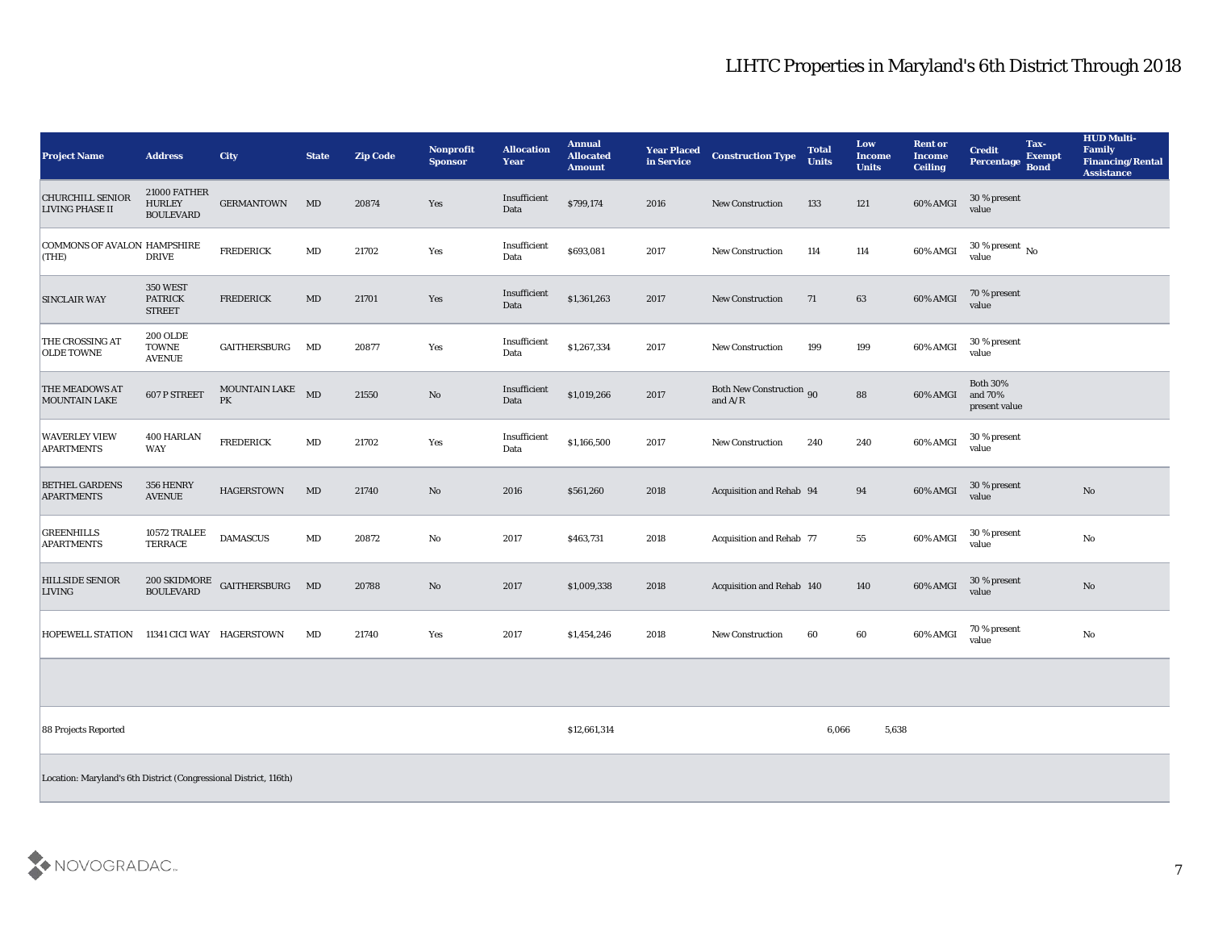| <b>Project Name</b>                                               | <b>Address</b>                                    | <b>City</b>               | <b>State</b> | <b>Zip Code</b> | <b>Nonprofit</b><br><b>Sponsor</b> | <b>Allocation</b><br><b>Year</b> | <b>Annual</b><br><b>Allocated</b><br><b>Amount</b> | <b>Year Placed</b><br>in Service | <b>Construction Type</b>                                                                               | <b>Total</b><br><b>Units</b> | Low<br><b>Income</b><br><b>Units</b> | <b>Rent or</b><br><b>Income</b><br><b>Ceiling</b> | <b>Credit</b><br><b>Percentage</b>          | Tax-<br><b>Exempt</b><br><b>Bond</b> | <b>HUD Multi-</b><br>Family<br><b>Financing/Rental</b><br><b>Assistance</b> |
|-------------------------------------------------------------------|---------------------------------------------------|---------------------------|--------------|-----------------|------------------------------------|----------------------------------|----------------------------------------------------|----------------------------------|--------------------------------------------------------------------------------------------------------|------------------------------|--------------------------------------|---------------------------------------------------|---------------------------------------------|--------------------------------------|-----------------------------------------------------------------------------|
| <b>CHURCHILL SENIOR</b><br><b>LIVING PHASE II</b>                 | 21000 FATHER<br><b>HURLEY</b><br><b>BOULEVARD</b> | <b>GERMANTOWN</b>         | MD           | 20874           | Yes                                | Insufficient<br>Data             | \$799,174                                          | 2016                             | <b>New Construction</b>                                                                                | 133                          | 121                                  | 60% AMGI                                          | 30 % present<br>value                       |                                      |                                                                             |
| COMMONS OF AVALON HAMPSHIRE<br>(THE)                              | <b>DRIVE</b>                                      | <b>FREDERICK</b>          | MD           | 21702           | Yes                                | Insufficient<br>Data             | \$693,081                                          | 2017                             | <b>New Construction</b>                                                                                | 114                          | 114                                  | 60% AMGI                                          | 30 % present $\,$ No $\,$<br>value          |                                      |                                                                             |
| <b>SINCLAIR WAY</b>                                               | 350 WEST<br><b>PATRICK</b><br><b>STREET</b>       | <b>FREDERICK</b>          | MD           | 21701           | Yes                                | Insufficient<br>Data             | \$1,361,263                                        | 2017                             | <b>New Construction</b>                                                                                | 71                           | 63                                   | 60% AMGI                                          | 70 % present<br>value                       |                                      |                                                                             |
| THE CROSSING AT<br><b>OLDE TOWNE</b>                              | <b>200 OLDE</b><br><b>TOWNE</b><br><b>AVENUE</b>  | GAITHERSBURG              | MD           | 20877           | Yes                                | Insufficient<br>Data             | \$1,267,334                                        | 2017                             | New Construction                                                                                       | 199                          | 199                                  | 60% AMGI                                          | 30 % present<br>value                       |                                      |                                                                             |
| <b>THE MEADOWS AT</b><br><b>MOUNTAIN LAKE</b>                     | 607 P STREET                                      | MOUNTAIN LAKE<br>PK       | MD           | 21550           | $\rm\thinspace No$                 | Insufficient<br>Data             | \$1,019,266                                        | 2017                             | <b>Both New Construction 90</b><br>and $\ensuremath{\mathrm{A}}\xspace/\ensuremath{\mathrm{R}}\xspace$ |                              | 88                                   | 60% AMGI                                          | <b>Both 30%</b><br>and 70%<br>present value |                                      |                                                                             |
| <b>WAVERLEY VIEW</b><br><b>APARTMENTS</b>                         | 400 HARLAN<br><b>WAY</b>                          | <b>FREDERICK</b>          | MD           | 21702           | Yes                                | Insufficient<br>Data             | \$1,166,500                                        | 2017                             | New Construction                                                                                       | 240                          | 240                                  | 60% AMGI                                          | 30 % present<br>value                       |                                      |                                                                             |
| <b>BETHEL GARDENS</b><br><b>APARTMENTS</b>                        | 356 HENRY<br><b>AVENUE</b>                        | <b>HAGERSTOWN</b>         | MD           | 21740           | $\mathbf{N}\mathbf{o}$             | 2016                             | \$561,260                                          | 2018                             | Acquisition and Rehab 94                                                                               |                              | 94                                   | 60% AMGI                                          | 30 % present<br>value                       |                                      | $\rm No$                                                                    |
| <b>GREENHILLS</b><br><b>APARTMENTS</b>                            | 10572 TRALEE<br><b>TERRACE</b>                    | <b>DAMASCUS</b>           | MD           | 20872           | No                                 | 2017                             | \$463,731                                          | 2018                             | Acquisition and Rehab 77                                                                               |                              | 55                                   | 60% AMGI                                          | 30 % present<br>value                       |                                      | No                                                                          |
| <b>HILLSIDE SENIOR</b><br><b>LIVING</b>                           | 200 SKIDMORE<br><b>BOULEVARD</b>                  | GAITHERSBURG MD           |              | 20788           | $\mathbf{N}\mathbf{o}$             | 2017                             | \$1,009,338                                        | 2018                             | <b>Acquisition and Rehab 140</b>                                                                       |                              | 140                                  | 60% AMGI                                          | 30 % present<br>value                       |                                      | $\rm No$                                                                    |
| <b>HOPEWELL STATION</b>                                           |                                                   | 11341 CICI WAY HAGERSTOWN | MD           | 21740           | Yes                                | 2017                             | \$1,454,246                                        | 2018                             | <b>New Construction</b>                                                                                | 60                           | 60                                   | 60% AMGI                                          | 70 % present<br>value                       |                                      | $\mathbf{No}$                                                               |
|                                                                   |                                                   |                           |              |                 |                                    |                                  |                                                    |                                  |                                                                                                        |                              |                                      |                                                   |                                             |                                      |                                                                             |
| 88 Projects Reported                                              |                                                   |                           |              |                 |                                    |                                  | \$12,661,314                                       |                                  |                                                                                                        | 6,066                        | 5,638                                |                                                   |                                             |                                      |                                                                             |
| Location: Maryland's 6th District (Congressional District, 116th) |                                                   |                           |              |                 |                                    |                                  |                                                    |                                  |                                                                                                        |                              |                                      |                                                   |                                             |                                      |                                                                             |